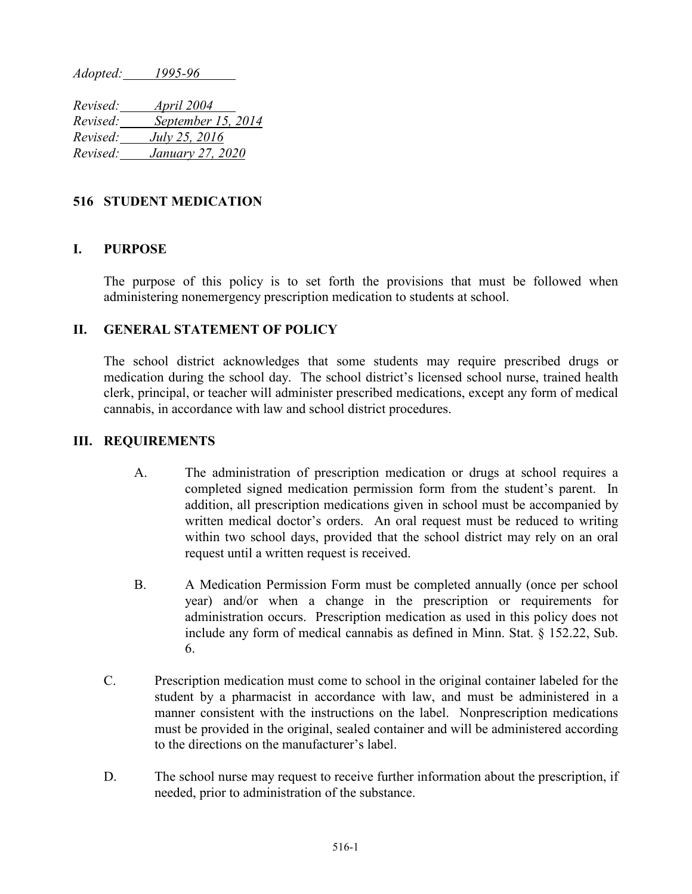*Adopted: 1995-96*

*Revised: April 2004 Revised: September 15, 2014 Revised: July 25, 2016 Revised: January 27, 2020*

## **516 STUDENT MEDICATION**

## **I. PURPOSE**

The purpose of this policy is to set forth the provisions that must be followed when administering nonemergency prescription medication to students at school.

## **II. GENERAL STATEMENT OF POLICY**

The school district acknowledges that some students may require prescribed drugs or medication during the school day. The school district's licensed school nurse, trained health clerk, principal, or teacher will administer prescribed medications, except any form of medical cannabis, in accordance with law and school district procedures.

## **III. REQUIREMENTS**

- A. The administration of prescription medication or drugs at school requires a completed signed medication permission form from the student's parent. In addition, all prescription medications given in school must be accompanied by written medical doctor's orders. An oral request must be reduced to writing within two school days, provided that the school district may rely on an oral request until a written request is received.
- B. A Medication Permission Form must be completed annually (once per school year) and/or when a change in the prescription or requirements for administration occurs. Prescription medication as used in this policy does not include any form of medical cannabis as defined in Minn. Stat. § 152.22, Sub. 6.
- C. Prescription medication must come to school in the original container labeled for the student by a pharmacist in accordance with law, and must be administered in a manner consistent with the instructions on the label. Nonprescription medications must be provided in the original, sealed container and will be administered according to the directions on the manufacturer's label.
- D. The school nurse may request to receive further information about the prescription, if needed, prior to administration of the substance.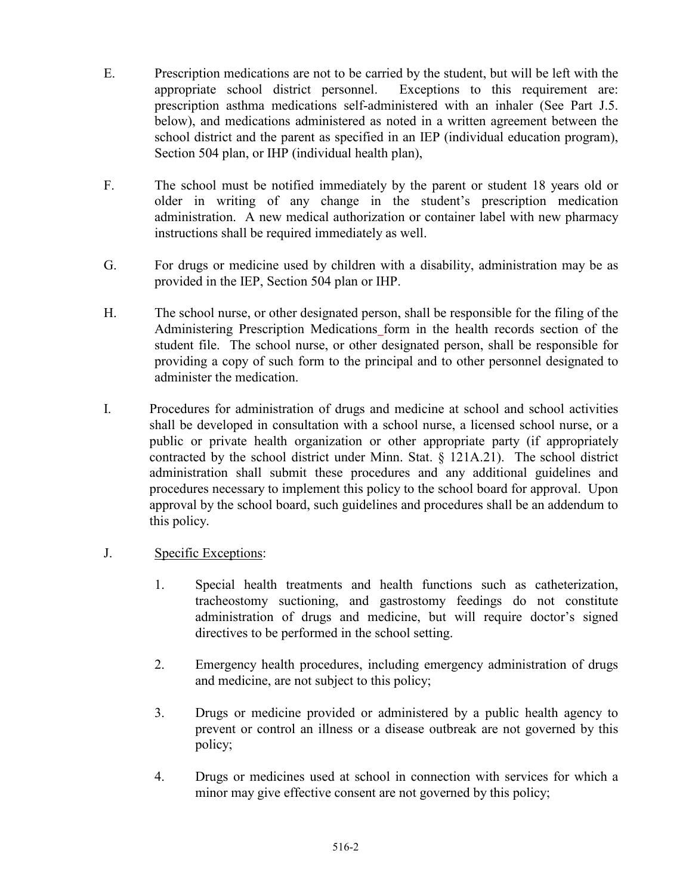- E. Prescription medications are not to be carried by the student, but will be left with the appropriate school district personnel. Exceptions to this requirement are: prescription asthma medications self-administered with an inhaler (See Part J.5. below), and medications administered as noted in a written agreement between the school district and the parent as specified in an IEP (individual education program), Section 504 plan, or IHP (individual health plan),
- F. The school must be notified immediately by the parent or student 18 years old or older in writing of any change in the student's prescription medication administration. A new medical authorization or container label with new pharmacy instructions shall be required immediately as well.
- G. For drugs or medicine used by children with a disability, administration may be as provided in the IEP, Section 504 plan or IHP.
- H. The school nurse, or other designated person, shall be responsible for the filing of the Administering Prescription Medications form in the health records section of the student file. The school nurse, or other designated person, shall be responsible for providing a copy of such form to the principal and to other personnel designated to administer the medication.
- I. Procedures for administration of drugs and medicine at school and school activities shall be developed in consultation with a school nurse, a licensed school nurse, or a public or private health organization or other appropriate party (if appropriately contracted by the school district under Minn. Stat. § 121A.21). The school district administration shall submit these procedures and any additional guidelines and procedures necessary to implement this policy to the school board for approval. Upon approval by the school board, such guidelines and procedures shall be an addendum to this policy.
- J. Specific Exceptions:
	- 1. Special health treatments and health functions such as catheterization, tracheostomy suctioning, and gastrostomy feedings do not constitute administration of drugs and medicine, but will require doctor's signed directives to be performed in the school setting.
	- 2. Emergency health procedures, including emergency administration of drugs and medicine, are not subject to this policy;
	- 3. Drugs or medicine provided or administered by a public health agency to prevent or control an illness or a disease outbreak are not governed by this policy;
	- 4. Drugs or medicines used at school in connection with services for which a minor may give effective consent are not governed by this policy;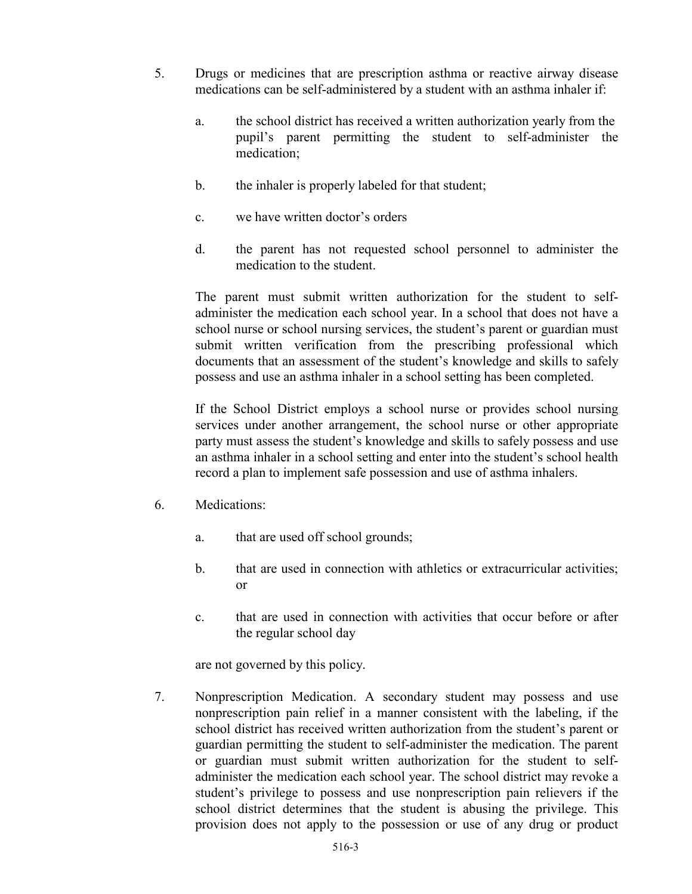- 5. Drugs or medicines that are prescription asthma or reactive airway disease medications can be self-administered by a student with an asthma inhaler if:
	- a. the school district has received a written authorization yearly from the pupil's parent permitting the student to self-administer the medication;
	- b. the inhaler is properly labeled for that student;
	- c. we have written doctor's orders
	- d. the parent has not requested school personnel to administer the medication to the student.

The parent must submit written authorization for the student to selfadminister the medication each school year. In a school that does not have a school nurse or school nursing services, the student's parent or guardian must submit written verification from the prescribing professional which documents that an assessment of the student's knowledge and skills to safely possess and use an asthma inhaler in a school setting has been completed.

If the School District employs a school nurse or provides school nursing services under another arrangement, the school nurse or other appropriate party must assess the student's knowledge and skills to safely possess and use an asthma inhaler in a school setting and enter into the student's school health record a plan to implement safe possession and use of asthma inhalers.

- 6. Medications:
	- a. that are used off school grounds;
	- b. that are used in connection with athletics or extracurricular activities; or
	- c. that are used in connection with activities that occur before or after the regular school day

are not governed by this policy.

7. Nonprescription Medication. A secondary student may possess and use nonprescription pain relief in a manner consistent with the labeling, if the school district has received written authorization from the student's parent or guardian permitting the student to self-administer the medication. The parent or guardian must submit written authorization for the student to selfadminister the medication each school year. The school district may revoke a student's privilege to possess and use nonprescription pain relievers if the school district determines that the student is abusing the privilege. This provision does not apply to the possession or use of any drug or product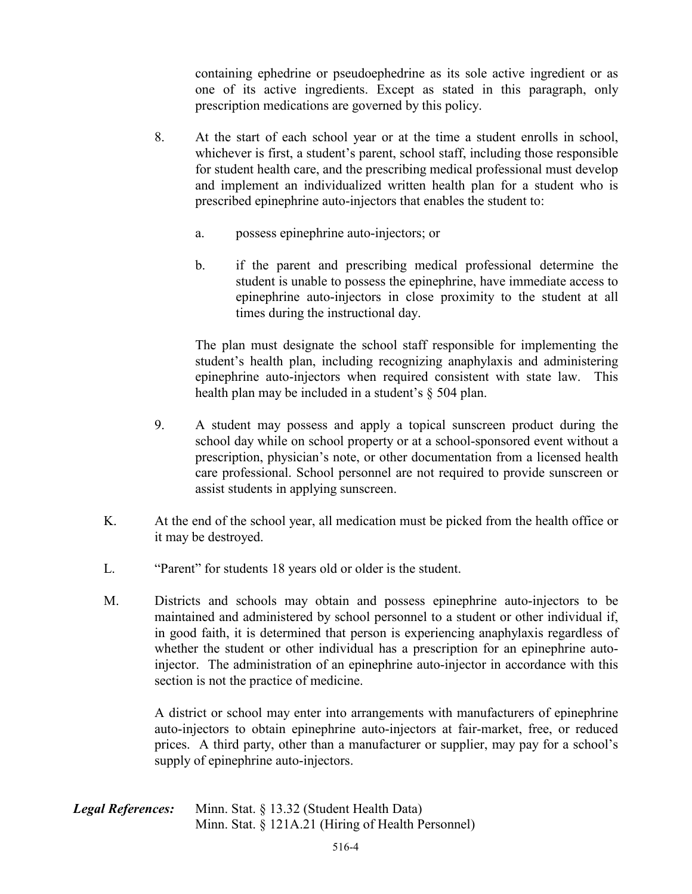containing ephedrine or pseudoephedrine as its sole active ingredient or as one of its active ingredients. Except as stated in this paragraph, only prescription medications are governed by this policy.

- 8. At the start of each school year or at the time a student enrolls in school, whichever is first, a student's parent, school staff, including those responsible for student health care, and the prescribing medical professional must develop and implement an individualized written health plan for a student who is prescribed epinephrine auto-injectors that enables the student to:
	- a. possess epinephrine auto-injectors; or
	- b. if the parent and prescribing medical professional determine the student is unable to possess the epinephrine, have immediate access to epinephrine auto-injectors in close proximity to the student at all times during the instructional day.

The plan must designate the school staff responsible for implementing the student's health plan, including recognizing anaphylaxis and administering epinephrine auto-injectors when required consistent with state law. This health plan may be included in a student's § 504 plan.

- 9. A student may possess and apply a topical sunscreen product during the school day while on school property or at a school-sponsored event without a prescription, physician's note, or other documentation from a licensed health care professional. School personnel are not required to provide sunscreen or assist students in applying sunscreen.
- K. At the end of the school year, all medication must be picked from the health office or it may be destroyed.
- L. "Parent" for students 18 years old or older is the student.
- M. Districts and schools may obtain and possess epinephrine auto-injectors to be maintained and administered by school personnel to a student or other individual if, in good faith, it is determined that person is experiencing anaphylaxis regardless of whether the student or other individual has a prescription for an epinephrine autoinjector. The administration of an epinephrine auto-injector in accordance with this section is not the practice of medicine.

A district or school may enter into arrangements with manufacturers of epinephrine auto-injectors to obtain epinephrine auto-injectors at fair-market, free, or reduced prices. A third party, other than a manufacturer or supplier, may pay for a school's supply of epinephrine auto-injectors.

*Legal References:* Minn. Stat. § 13.32 (Student Health Data) Minn. Stat. § 121A.21 (Hiring of Health Personnel)